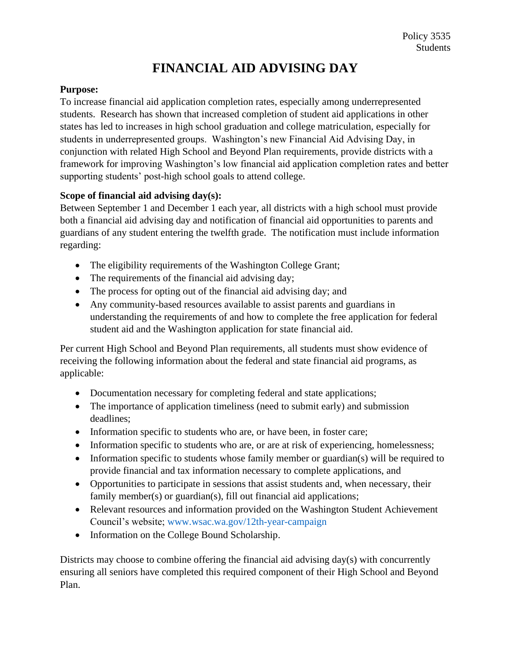## **FINANCIAL AID ADVISING DAY**

## **Purpose:**

To increase financial aid application completion rates, especially among underrepresented students. Research has shown that increased completion of student aid applications in other states has led to increases in high school graduation and college matriculation, especially for students in underrepresented groups. Washington's new Financial Aid Advising Day, in conjunction with related High School and Beyond Plan requirements, provide districts with a framework for improving Washington's low financial aid application completion rates and better supporting students' post-high school goals to attend college.

## **Scope of financial aid advising day(s):**

Between September 1 and December 1 each year, all districts with a high school must provide both a financial aid advising day and notification of financial aid opportunities to parents and guardians of any student entering the twelfth grade. The notification must include information regarding:

- The eligibility requirements of the Washington College Grant;
- The requirements of the financial aid advising day;
- The process for opting out of the financial aid advising day; and
- Any community-based resources available to assist parents and guardians in understanding the requirements of and how to complete the free application for federal student aid and the Washington application for state financial aid.

Per current High School and Beyond Plan requirements, all students must show evidence of receiving the following information about the federal and state financial aid programs, as applicable:

- Documentation necessary for completing federal and state applications;
- The importance of application timeliness (need to submit early) and submission deadlines;
- Information specific to students who are, or have been, in foster care;
- Information specific to students who are, or are at risk of experiencing, homelessness;
- Information specific to students whose family member or guardian(s) will be required to provide financial and tax information necessary to complete applications, and
- Opportunities to participate in sessions that assist students and, when necessary, their family member(s) or guardian(s), fill out financial aid applications;
- Relevant resources and information provided on the Washington Student Achievement Council's website; [www.wsac.wa.gov/12th-year-campaign](http://www.wsac.wa.gov/12th-year-campaign)
- Information on the College Bound Scholarship.

Districts may choose to combine offering the financial aid advising day(s) with concurrently ensuring all seniors have completed this required component of their High School and Beyond Plan.